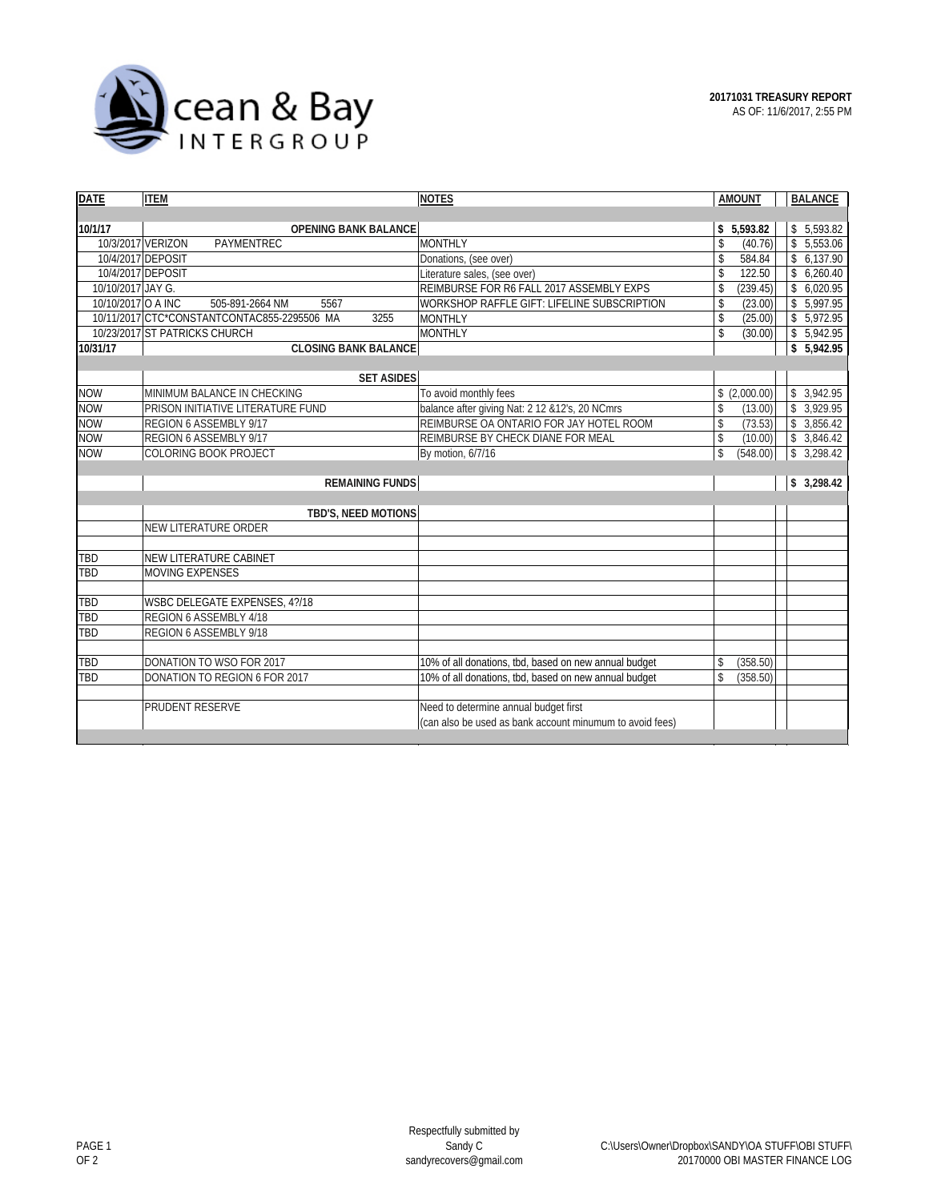

| <b>DATE</b>        | <b>ITEM</b>                                         | <b>NOTES</b>                                             | <b>AMOUNT</b>             | <b>BALANCE</b>           |
|--------------------|-----------------------------------------------------|----------------------------------------------------------|---------------------------|--------------------------|
|                    |                                                     |                                                          |                           |                          |
| 10/1/17            | <b>OPENING BANK BALANCE</b>                         |                                                          | \$5,593.82                | \$5,593.82               |
| 10/3/2017 VERIZON  | PAYMENTREC                                          | MONTHLY                                                  | \$<br>(40.76)             | \$5,553.06               |
| 10/4/2017 DEPOSIT  |                                                     | Donations, (see over)                                    | \$<br>584.84              | \$6,137.90               |
| 10/4/2017 DEPOSIT  |                                                     | Literature sales, (see over)                             | \$<br>122.50              | \$6,260.40               |
| 10/10/2017 JAY G.  |                                                     | REIMBURSE FOR R6 FALL 2017 ASSEMBLY EXPS                 | \$<br>(239.45)            | \$6,020.95               |
| 10/10/2017 O A INC | 505-891-2664 NM<br>5567                             | WORKSHOP RAFFLE GIFT: LIFELINE SUBSCRIPTION              | \$<br>(23.00)             | \$5,997.95               |
|                    | 10/11/2017 CTC*CONSTANTCONTAC855-2295506 MA<br>3255 | <b>MONTHLY</b>                                           | \$<br>(25.00)             | \$5,972.95               |
|                    | 10/23/2017 ST PATRICKS CHURCH                       | <b>MONTHLY</b>                                           | \$<br>(30.00)             | \$5,942.95               |
| 10/31/17           | <b>CLOSING BANK BALANCE</b>                         |                                                          |                           | \$5,942.95               |
|                    |                                                     |                                                          |                           |                          |
|                    | <b>SET ASIDES</b>                                   |                                                          |                           |                          |
| <b>NOW</b>         | MINIMUM BALANCE IN CHECKING                         | To avoid monthly fees                                    | \$(2,000.00)              | \$3,942.95               |
| <b>NOW</b>         | PRISON INITIATIVE LITERATURE FUND                   | balance after giving Nat: 2 12 & 12's, 20 NCmrs          | \$<br>(13.00)             | 3,929.95<br>\$           |
| <b>NOW</b>         | REGION 6 ASSEMBLY 9/17                              | REIMBURSE OA ONTARIO FOR JAY HOTEL ROOM                  | \$<br>(73.53)             | \$3,856.42               |
| <b>NOW</b>         | REGION 6 ASSEMBLY 9/17                              | REIMBURSE BY CHECK DIANE FOR MEAL                        | \$<br>(10.00)             | \$3,846.42               |
| <b>NOW</b>         | COLORING BOOK PROJECT                               | By motion, 6/7/16                                        | \$<br>(548.00)            | 3,298.42<br>$\mathbb{S}$ |
|                    |                                                     |                                                          |                           |                          |
|                    | <b>REMAINING FUNDS</b>                              |                                                          |                           | 3,298.42<br>\$           |
|                    | TBD'S, NEED MOTIONS                                 |                                                          |                           |                          |
|                    | NEW LITERATURE ORDER                                |                                                          |                           |                          |
|                    |                                                     |                                                          |                           |                          |
| TBD                | NEW LITERATURE CABINET                              |                                                          |                           |                          |
| TBD                | <b>MOVING EXPENSES</b>                              |                                                          |                           |                          |
|                    |                                                     |                                                          |                           |                          |
| TBD                | WSBC DELEGATE EXPENSES, 4?/18                       |                                                          |                           |                          |
| TBD                | REGION 6 ASSEMBLY 4/18                              |                                                          |                           |                          |
| TBD                | REGION 6 ASSEMBLY 9/18                              |                                                          |                           |                          |
|                    |                                                     |                                                          |                           |                          |
| TBD                | DONATION TO WSO FOR 2017                            | 10% of all donations, tbd, based on new annual budget    | (358.50)<br>\$            |                          |
| TBD                | DONATION TO REGION 6 FOR 2017                       | 10% of all donations, tbd, based on new annual budget    | (358.50)<br>$\mathsf{\$}$ |                          |
|                    |                                                     |                                                          |                           |                          |
|                    | <b>PRUDENT RESERVE</b>                              | Need to determine annual budget first                    |                           |                          |
|                    |                                                     | (can also be used as bank account minumum to avoid fees) |                           |                          |